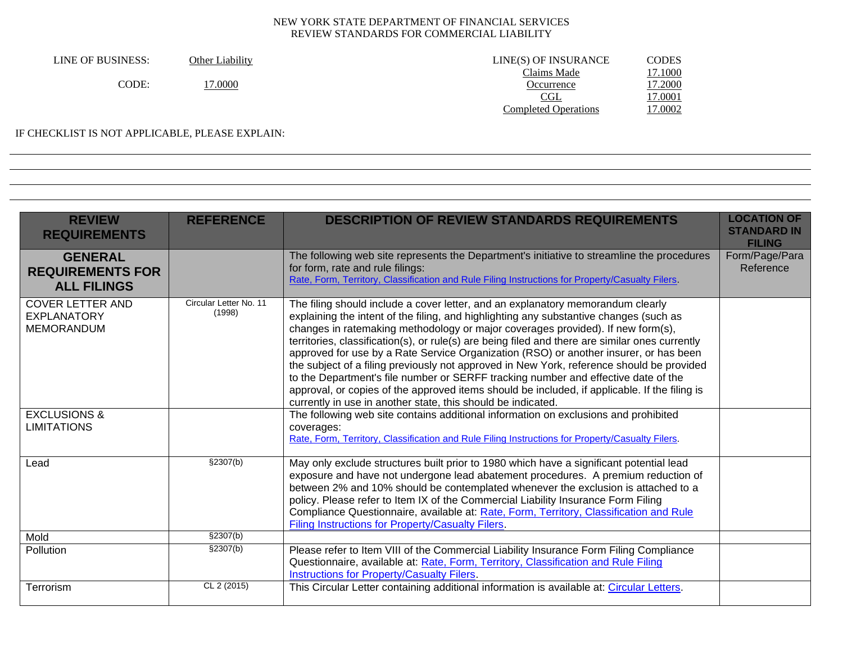| LINE OF BUSINESS: | Other Liability | LINE(S) OF INSURANCE        | <b>CODES</b> |
|-------------------|-----------------|-----------------------------|--------------|
|                   |                 | Claims Made                 | 7.1000       |
| CODE:             | 7.0000          | Occurrence                  | 7.2000       |
|                   |                 | <u>CGL</u>                  | 7.0001       |
|                   |                 | <b>Completed Operations</b> | 7.0002       |
|                   |                 |                             |              |

#### IF CHECKLIST IS NOT APPLICABLE, PLEASE EXPLAIN:

| <b>REVIEW</b><br><b>REQUIREMENTS</b>                               | <b>REFERENCE</b>                 | <b>DESCRIPTION OF REVIEW STANDARDS REQUIREMENTS</b>                                                                                                                                                                                                                                                                                                                                                                                                                                                                                                                                                                                                                                                                                                                                                          | <b>LOCATION OF</b><br><b>STANDARD IN</b><br><b>FILING</b> |
|--------------------------------------------------------------------|----------------------------------|--------------------------------------------------------------------------------------------------------------------------------------------------------------------------------------------------------------------------------------------------------------------------------------------------------------------------------------------------------------------------------------------------------------------------------------------------------------------------------------------------------------------------------------------------------------------------------------------------------------------------------------------------------------------------------------------------------------------------------------------------------------------------------------------------------------|-----------------------------------------------------------|
| <b>GENERAL</b><br><b>REQUIREMENTS FOR</b><br><b>ALL FILINGS</b>    |                                  | The following web site represents the Department's initiative to streamline the procedures<br>for form, rate and rule filings:<br>Rate, Form, Territory, Classification and Rule Filing Instructions for Property/Casualty Filers.                                                                                                                                                                                                                                                                                                                                                                                                                                                                                                                                                                           | Form/Page/Para<br>Reference                               |
| <b>COVER LETTER AND</b><br><b>EXPLANATORY</b><br><b>MEMORANDUM</b> | Circular Letter No. 11<br>(1998) | The filing should include a cover letter, and an explanatory memorandum clearly<br>explaining the intent of the filing, and highlighting any substantive changes (such as<br>changes in ratemaking methodology or major coverages provided). If new form(s),<br>territories, classification(s), or rule(s) are being filed and there are similar ones currently<br>approved for use by a Rate Service Organization (RSO) or another insurer, or has been<br>the subject of a filing previously not approved in New York, reference should be provided<br>to the Department's file number or SERFF tracking number and effective date of the<br>approval, or copies of the approved items should be included, if applicable. If the filing is<br>currently in use in another state, this should be indicated. |                                                           |
| <b>EXCLUSIONS &amp;</b><br><b>LIMITATIONS</b>                      |                                  | The following web site contains additional information on exclusions and prohibited<br>coverages:<br>Rate, Form, Territory, Classification and Rule Filing Instructions for Property/Casualty Filers.                                                                                                                                                                                                                                                                                                                                                                                                                                                                                                                                                                                                        |                                                           |
| Lead                                                               | \$2307(b)                        | May only exclude structures built prior to 1980 which have a significant potential lead<br>exposure and have not undergone lead abatement procedures. A premium reduction of<br>between 2% and 10% should be contemplated whenever the exclusion is attached to a<br>policy. Please refer to Item IX of the Commercial Liability Insurance Form Filing<br>Compliance Questionnaire, available at: Rate, Form, Territory, Classification and Rule<br>Filing Instructions for Property/Casualty Filers.                                                                                                                                                                                                                                                                                                        |                                                           |
| Mold                                                               | \$2307(b)                        |                                                                                                                                                                                                                                                                                                                                                                                                                                                                                                                                                                                                                                                                                                                                                                                                              |                                                           |
| Pollution                                                          | \$2307(b)                        | Please refer to Item VIII of the Commercial Liability Insurance Form Filing Compliance<br>Questionnaire, available at: Rate, Form, Territory, Classification and Rule Filing<br><b>Instructions for Property/Casualty Filers.</b>                                                                                                                                                                                                                                                                                                                                                                                                                                                                                                                                                                            |                                                           |
| Terrorism                                                          | CL 2 (2015)                      | This Circular Letter containing additional information is available at: Circular Letters.                                                                                                                                                                                                                                                                                                                                                                                                                                                                                                                                                                                                                                                                                                                    |                                                           |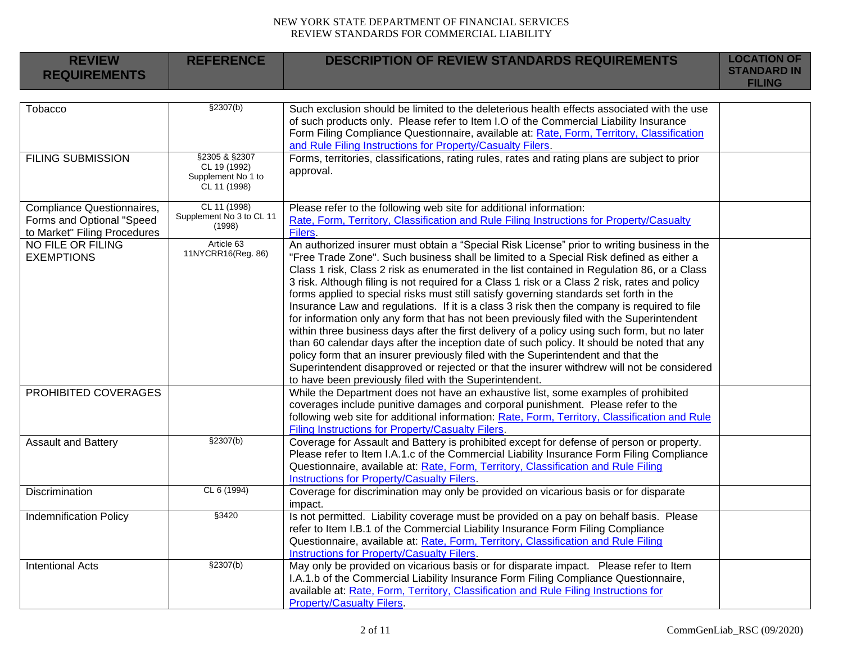| <b>REVIEW</b><br><b>REQUIREMENTS</b>                                                    | <b>REFERENCE</b>                                                    | <b>DESCRIPTION OF REVIEW STANDARDS REQUIREMENTS</b>                                                                                                                                                                                                                                                                                                                                                                                                                                                                                                                                                                                                                                                                                                                                                                                                                                                                                                                                                                                                                                                                                                                                                            | <b>LOCATION OF</b><br><b>STANDARD IN</b><br><b>FILING</b> |
|-----------------------------------------------------------------------------------------|---------------------------------------------------------------------|----------------------------------------------------------------------------------------------------------------------------------------------------------------------------------------------------------------------------------------------------------------------------------------------------------------------------------------------------------------------------------------------------------------------------------------------------------------------------------------------------------------------------------------------------------------------------------------------------------------------------------------------------------------------------------------------------------------------------------------------------------------------------------------------------------------------------------------------------------------------------------------------------------------------------------------------------------------------------------------------------------------------------------------------------------------------------------------------------------------------------------------------------------------------------------------------------------------|-----------------------------------------------------------|
|                                                                                         |                                                                     |                                                                                                                                                                                                                                                                                                                                                                                                                                                                                                                                                                                                                                                                                                                                                                                                                                                                                                                                                                                                                                                                                                                                                                                                                |                                                           |
| Tobacco                                                                                 | \$2307(b)                                                           | Such exclusion should be limited to the deleterious health effects associated with the use<br>of such products only. Please refer to Item I.O of the Commercial Liability Insurance<br>Form Filing Compliance Questionnaire, available at: Rate, Form, Territory, Classification<br>and Rule Filing Instructions for Property/Casualty Filers.                                                                                                                                                                                                                                                                                                                                                                                                                                                                                                                                                                                                                                                                                                                                                                                                                                                                 |                                                           |
| <b>FILING SUBMISSION</b>                                                                | §2305 & §2307<br>CL 19 (1992)<br>Supplement No 1 to<br>CL 11 (1998) | Forms, territories, classifications, rating rules, rates and rating plans are subject to prior<br>approval.                                                                                                                                                                                                                                                                                                                                                                                                                                                                                                                                                                                                                                                                                                                                                                                                                                                                                                                                                                                                                                                                                                    |                                                           |
| Compliance Questionnaires,<br>Forms and Optional "Speed<br>to Market" Filing Procedures | CL 11 (1998)<br>Supplement No 3 to CL 11<br>(1998)                  | Please refer to the following web site for additional information:<br>Rate, Form, Territory, Classification and Rule Filing Instructions for Property/Casualty<br>Filers.                                                                                                                                                                                                                                                                                                                                                                                                                                                                                                                                                                                                                                                                                                                                                                                                                                                                                                                                                                                                                                      |                                                           |
| <b>NO FILE OR FILING</b><br><b>EXEMPTIONS</b><br>PROHIBITED COVERAGES                   | Article 63<br>11NYCRR16(Reg. 86)                                    | An authorized insurer must obtain a "Special Risk License" prior to writing business in the<br>"Free Trade Zone". Such business shall be limited to a Special Risk defined as either a<br>Class 1 risk, Class 2 risk as enumerated in the list contained in Regulation 86, or a Class<br>3 risk. Although filing is not required for a Class 1 risk or a Class 2 risk, rates and policy<br>forms applied to special risks must still satisfy governing standards set forth in the<br>Insurance Law and regulations. If it is a class 3 risk then the company is required to file<br>for information only any form that has not been previously filed with the Superintendent<br>within three business days after the first delivery of a policy using such form, but no later<br>than 60 calendar days after the inception date of such policy. It should be noted that any<br>policy form that an insurer previously filed with the Superintendent and that the<br>Superintendent disapproved or rejected or that the insurer withdrew will not be considered<br>to have been previously filed with the Superintendent.<br>While the Department does not have an exhaustive list, some examples of prohibited |                                                           |
|                                                                                         |                                                                     | coverages include punitive damages and corporal punishment. Please refer to the<br>following web site for additional information: Rate, Form, Territory, Classification and Rule<br>Filing Instructions for Property/Casualty Filers.                                                                                                                                                                                                                                                                                                                                                                                                                                                                                                                                                                                                                                                                                                                                                                                                                                                                                                                                                                          |                                                           |
| <b>Assault and Battery</b>                                                              | §2307(b)                                                            | Coverage for Assault and Battery is prohibited except for defense of person or property.<br>Please refer to Item I.A.1.c of the Commercial Liability Insurance Form Filing Compliance<br>Questionnaire, available at: Rate, Form, Territory, Classification and Rule Filing<br><b>Instructions for Property/Casualty Filers.</b>                                                                                                                                                                                                                                                                                                                                                                                                                                                                                                                                                                                                                                                                                                                                                                                                                                                                               |                                                           |
| Discrimination                                                                          | CL 6 (1994)                                                         | Coverage for discrimination may only be provided on vicarious basis or for disparate<br>impact.                                                                                                                                                                                                                                                                                                                                                                                                                                                                                                                                                                                                                                                                                                                                                                                                                                                                                                                                                                                                                                                                                                                |                                                           |
| <b>Indemnification Policy</b>                                                           | §3420                                                               | Is not permitted. Liability coverage must be provided on a pay on behalf basis. Please<br>refer to Item I.B.1 of the Commercial Liability Insurance Form Filing Compliance<br>Questionnaire, available at: Rate, Form, Territory, Classification and Rule Filing<br><b>Instructions for Property/Casualty Filers.</b>                                                                                                                                                                                                                                                                                                                                                                                                                                                                                                                                                                                                                                                                                                                                                                                                                                                                                          |                                                           |
| <b>Intentional Acts</b>                                                                 | \$2307(b)                                                           | May only be provided on vicarious basis or for disparate impact. Please refer to Item<br>I.A.1.b of the Commercial Liability Insurance Form Filing Compliance Questionnaire,<br>available at: Rate, Form, Territory, Classification and Rule Filing Instructions for<br><b>Property/Casualty Filers.</b>                                                                                                                                                                                                                                                                                                                                                                                                                                                                                                                                                                                                                                                                                                                                                                                                                                                                                                       |                                                           |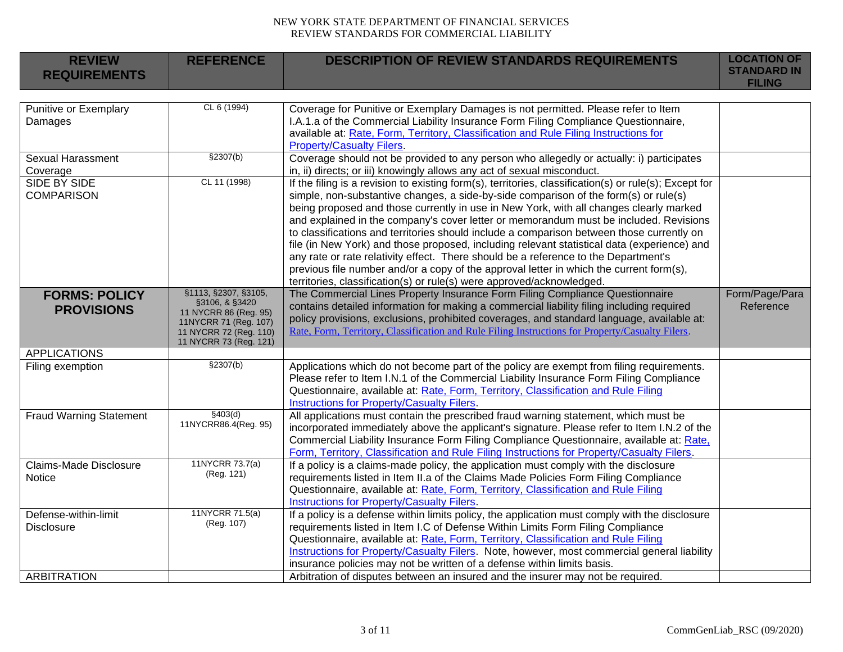| <b>REVIEW</b><br><b>REQUIREMENTS</b>                            | <b>REFERENCE</b>                                                                                                                             | <b>DESCRIPTION OF REVIEW STANDARDS REQUIREMENTS</b>                                                                                                                                                                                                                                                                                                                                                                                                                                                                                                                                                                                                                                                                                                                                                                                      | <b>LOCATION OF</b><br><b>STANDARD IN</b><br><b>FILING</b> |
|-----------------------------------------------------------------|----------------------------------------------------------------------------------------------------------------------------------------------|------------------------------------------------------------------------------------------------------------------------------------------------------------------------------------------------------------------------------------------------------------------------------------------------------------------------------------------------------------------------------------------------------------------------------------------------------------------------------------------------------------------------------------------------------------------------------------------------------------------------------------------------------------------------------------------------------------------------------------------------------------------------------------------------------------------------------------------|-----------------------------------------------------------|
|                                                                 |                                                                                                                                              |                                                                                                                                                                                                                                                                                                                                                                                                                                                                                                                                                                                                                                                                                                                                                                                                                                          |                                                           |
| Punitive or Exemplary<br>Damages                                | CL 6 (1994)                                                                                                                                  | Coverage for Punitive or Exemplary Damages is not permitted. Please refer to Item<br>I.A.1.a of the Commercial Liability Insurance Form Filing Compliance Questionnaire,<br>available at: Rate, Form, Territory, Classification and Rule Filing Instructions for<br><b>Property/Casualty Filers.</b>                                                                                                                                                                                                                                                                                                                                                                                                                                                                                                                                     |                                                           |
| <b>Sexual Harassment</b>                                        | \$2307(b)                                                                                                                                    | Coverage should not be provided to any person who allegedly or actually: i) participates                                                                                                                                                                                                                                                                                                                                                                                                                                                                                                                                                                                                                                                                                                                                                 |                                                           |
| Coverage                                                        |                                                                                                                                              | in, ii) directs; or iii) knowingly allows any act of sexual misconduct.                                                                                                                                                                                                                                                                                                                                                                                                                                                                                                                                                                                                                                                                                                                                                                  |                                                           |
| <b>SIDE BY SIDE</b><br><b>COMPARISON</b>                        | CL 11 (1998)                                                                                                                                 | If the filing is a revision to existing form(s), territories, classification(s) or rule(s); Except for<br>simple, non-substantive changes, a side-by-side comparison of the form(s) or rule(s)<br>being proposed and those currently in use in New York, with all changes clearly marked<br>and explained in the company's cover letter or memorandum must be included. Revisions<br>to classifications and territories should include a comparison between those currently on<br>file (in New York) and those proposed, including relevant statistical data (experience) and<br>any rate or rate relativity effect. There should be a reference to the Department's<br>previous file number and/or a copy of the approval letter in which the current form(s),<br>territories, classification(s) or rule(s) were approved/acknowledged. |                                                           |
| <b>FORMS: POLICY</b><br><b>PROVISIONS</b>                       | §1113, §2307, §3105,<br>§3106, & §3420<br>11 NYCRR 86 (Reg. 95)<br>11NYCRR 71 (Reg. 107)<br>11 NYCRR 72 (Reg. 110)<br>11 NYCRR 73 (Reg. 121) | The Commercial Lines Property Insurance Form Filing Compliance Questionnaire<br>contains detailed information for making a commercial liability filing including required<br>policy provisions, exclusions, prohibited coverages, and standard language, available at:<br>Rate, Form, Territory, Classification and Rule Filing Instructions for Property/Casualty Filers.                                                                                                                                                                                                                                                                                                                                                                                                                                                               | Form/Page/Para<br>Reference                               |
| <b>APPLICATIONS</b>                                             |                                                                                                                                              |                                                                                                                                                                                                                                                                                                                                                                                                                                                                                                                                                                                                                                                                                                                                                                                                                                          |                                                           |
| Filing exemption                                                | \$2307(b)                                                                                                                                    | Applications which do not become part of the policy are exempt from filing requirements.<br>Please refer to Item I.N.1 of the Commercial Liability Insurance Form Filing Compliance<br>Questionnaire, available at: Rate, Form, Territory, Classification and Rule Filing<br>Instructions for Property/Casualty Filers.                                                                                                                                                                                                                                                                                                                                                                                                                                                                                                                  |                                                           |
| <b>Fraud Warning Statement</b>                                  | \$403(d)<br>11NYCRR86.4(Reg. 95)                                                                                                             | All applications must contain the prescribed fraud warning statement, which must be<br>incorporated immediately above the applicant's signature. Please refer to Item I.N.2 of the<br>Commercial Liability Insurance Form Filing Compliance Questionnaire, available at: Rate,<br>Form, Territory, Classification and Rule Filing Instructions for Property/Casualty Filers.                                                                                                                                                                                                                                                                                                                                                                                                                                                             |                                                           |
| Claims-Made Disclosure<br>Notice                                | 11NYCRR 73.7(a)<br>(Reg. 121)                                                                                                                | If a policy is a claims-made policy, the application must comply with the disclosure<br>requirements listed in Item II.a of the Claims Made Policies Form Filing Compliance<br>Questionnaire, available at: Rate, Form, Territory, Classification and Rule Filing<br>Instructions for Property/Casualty Filers.                                                                                                                                                                                                                                                                                                                                                                                                                                                                                                                          |                                                           |
| Defense-within-limit<br><b>Disclosure</b><br><b>ARBITRATION</b> | 11NYCRR 71.5(a)<br>(Reg. 107)                                                                                                                | If a policy is a defense within limits policy, the application must comply with the disclosure<br>requirements listed in Item I.C of Defense Within Limits Form Filing Compliance<br>Questionnaire, available at: Rate, Form, Territory, Classification and Rule Filing<br>Instructions for Property/Casualty Filers. Note, however, most commercial general liability<br>insurance policies may not be written of a defense within limits basis.<br>Arbitration of disputes between an insured and the insurer may not be required.                                                                                                                                                                                                                                                                                                     |                                                           |
|                                                                 |                                                                                                                                              |                                                                                                                                                                                                                                                                                                                                                                                                                                                                                                                                                                                                                                                                                                                                                                                                                                          |                                                           |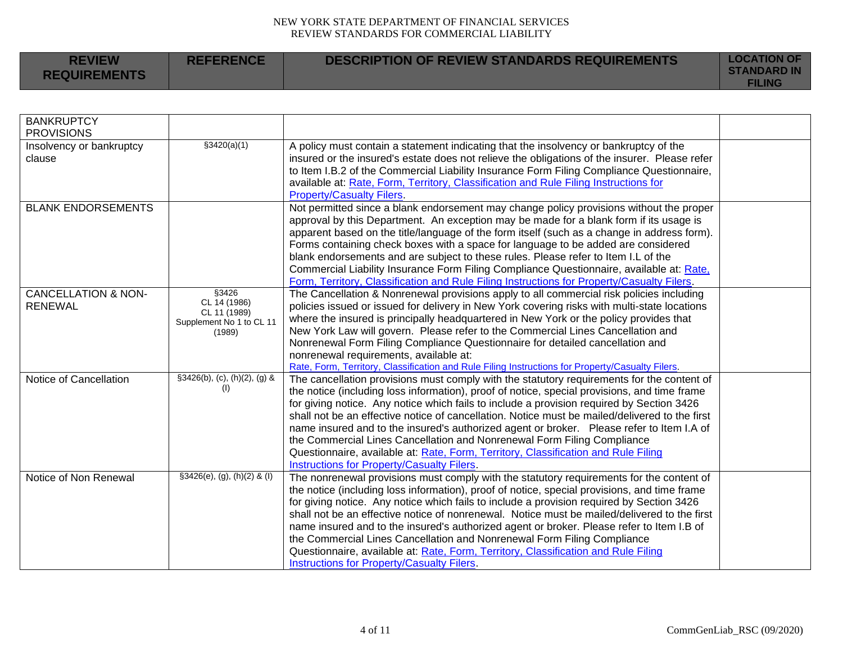| <b>REVIEW</b><br><b>REQUIREMENTS</b> | <b>REFERENCE</b> | <b>DESCRIPTION OF REVIEW STANDARDS REQUIREMENTS</b> | <b>LOCATION OF</b><br><b>STANDARD IN</b><br><b>FILING</b> |
|--------------------------------------|------------------|-----------------------------------------------------|-----------------------------------------------------------|
|                                      |                  |                                                     |                                                           |

| <b>BANKRUPTCY</b><br><b>PROVISIONS</b> |                                          |                                                                                                                                                                                           |  |
|----------------------------------------|------------------------------------------|-------------------------------------------------------------------------------------------------------------------------------------------------------------------------------------------|--|
| Insolvency or bankruptcy               | \$3420(a)(1)                             | A policy must contain a statement indicating that the insolvency or bankruptcy of the                                                                                                     |  |
| clause                                 |                                          | insured or the insured's estate does not relieve the obligations of the insurer. Please refer                                                                                             |  |
|                                        |                                          | to Item I.B.2 of the Commercial Liability Insurance Form Filing Compliance Questionnaire,                                                                                                 |  |
|                                        |                                          | available at: Rate, Form, Territory, Classification and Rule Filing Instructions for<br><b>Property/Casualty Filers.</b>                                                                  |  |
| <b>BLANK ENDORSEMENTS</b>              |                                          | Not permitted since a blank endorsement may change policy provisions without the proper                                                                                                   |  |
|                                        |                                          | approval by this Department. An exception may be made for a blank form if its usage is                                                                                                    |  |
|                                        |                                          | apparent based on the title/language of the form itself (such as a change in address form).                                                                                               |  |
|                                        |                                          | Forms containing check boxes with a space for language to be added are considered                                                                                                         |  |
|                                        |                                          | blank endorsements and are subject to these rules. Please refer to Item I.L of the                                                                                                        |  |
|                                        |                                          | Commercial Liability Insurance Form Filing Compliance Questionnaire, available at: Rate,                                                                                                  |  |
|                                        |                                          | Form, Territory, Classification and Rule Filing Instructions for Property/Casualty Filers.                                                                                                |  |
| <b>CANCELLATION &amp; NON-</b>         | §3426                                    | The Cancellation & Nonrenewal provisions apply to all commercial risk policies including                                                                                                  |  |
| <b>RENEWAL</b>                         | CL 14 (1986)                             | policies issued or issued for delivery in New York covering risks with multi-state locations                                                                                              |  |
|                                        | CL 11 (1989)<br>Supplement No 1 to CL 11 | where the insured is principally headquartered in New York or the policy provides that                                                                                                    |  |
|                                        | (1989)                                   | New York Law will govern. Please refer to the Commercial Lines Cancellation and                                                                                                           |  |
|                                        |                                          | Nonrenewal Form Filing Compliance Questionnaire for detailed cancellation and                                                                                                             |  |
|                                        |                                          | nonrenewal requirements, available at:                                                                                                                                                    |  |
|                                        |                                          | Rate, Form, Territory, Classification and Rule Filing Instructions for Property/Casualty Filers.                                                                                          |  |
| Notice of Cancellation                 | §3426(b), (c), (h)(2), (g) &             | The cancellation provisions must comply with the statutory requirements for the content of                                                                                                |  |
|                                        | (1)                                      | the notice (including loss information), proof of notice, special provisions, and time frame                                                                                              |  |
|                                        |                                          | for giving notice. Any notice which fails to include a provision required by Section 3426                                                                                                 |  |
|                                        |                                          | shall not be an effective notice of cancellation. Notice must be mailed/delivered to the first                                                                                            |  |
|                                        |                                          | name insured and to the insured's authorized agent or broker.  Please refer to Item I.A of                                                                                                |  |
|                                        |                                          | the Commercial Lines Cancellation and Nonrenewal Form Filing Compliance                                                                                                                   |  |
|                                        |                                          | Questionnaire, available at: Rate, Form, Territory, Classification and Rule Filing                                                                                                        |  |
|                                        |                                          | <b>Instructions for Property/Casualty Filers.</b>                                                                                                                                         |  |
| Notice of Non Renewal                  | $§3426(e), (g), (h)(2)$ & (I)            | The nonrenewal provisions must comply with the statutory requirements for the content of                                                                                                  |  |
|                                        |                                          | the notice (including loss information), proof of notice, special provisions, and time frame                                                                                              |  |
|                                        |                                          | for giving notice. Any notice which fails to include a provision required by Section 3426<br>shall not be an effective notice of nonrenewal. Notice must be mailed/delivered to the first |  |
|                                        |                                          | name insured and to the insured's authorized agent or broker. Please refer to Item I.B of                                                                                                 |  |
|                                        |                                          | the Commercial Lines Cancellation and Nonrenewal Form Filing Compliance                                                                                                                   |  |
|                                        |                                          | Questionnaire, available at: Rate, Form, Territory, Classification and Rule Filing                                                                                                        |  |
|                                        |                                          | Instructions for Property/Casualty Filers.                                                                                                                                                |  |
|                                        |                                          |                                                                                                                                                                                           |  |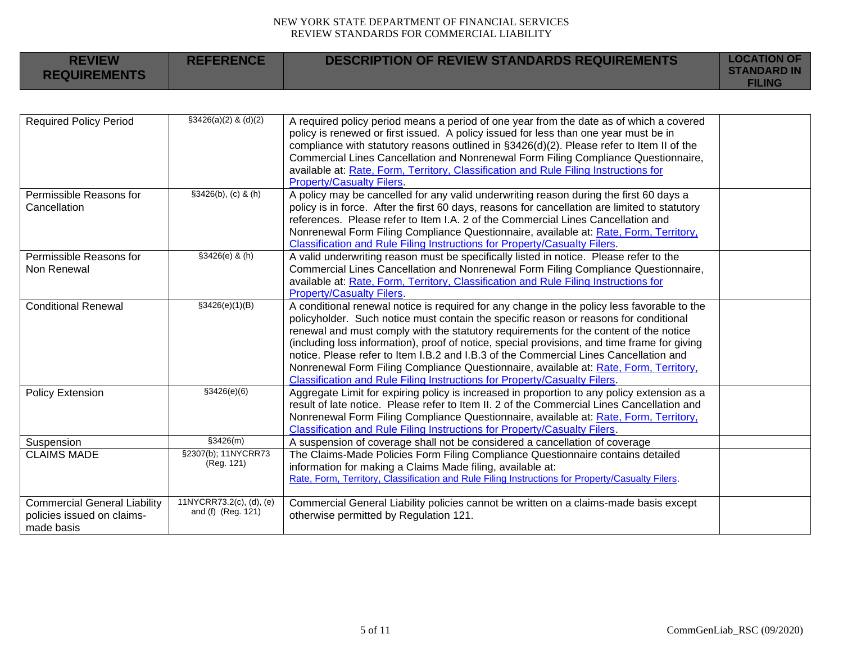| <b>REVIEW</b><br><b>REQUIREMENTS</b>                                            | <b>REFERENCE</b>                               | <b>DESCRIPTION OF REVIEW STANDARDS REQUIREMENTS</b>                                                                                                                                                                                                                                                                                                                                                                                                                                                                                                                                                                                                 | <b>LOCATION OF</b><br><b>STANDARD IN</b><br><b>FILING</b> |
|---------------------------------------------------------------------------------|------------------------------------------------|-----------------------------------------------------------------------------------------------------------------------------------------------------------------------------------------------------------------------------------------------------------------------------------------------------------------------------------------------------------------------------------------------------------------------------------------------------------------------------------------------------------------------------------------------------------------------------------------------------------------------------------------------------|-----------------------------------------------------------|
|                                                                                 |                                                |                                                                                                                                                                                                                                                                                                                                                                                                                                                                                                                                                                                                                                                     |                                                           |
| <b>Required Policy Period</b>                                                   | $$3426(a)(2)$ & (d)(2)                         | A required policy period means a period of one year from the date as of which a covered<br>policy is renewed or first issued. A policy issued for less than one year must be in<br>compliance with statutory reasons outlined in §3426(d)(2). Please refer to Item II of the<br>Commercial Lines Cancellation and Nonrenewal Form Filing Compliance Questionnaire,<br>available at: Rate, Form, Territory, Classification and Rule Filing Instructions for<br><b>Property/Casualty Filers.</b>                                                                                                                                                      |                                                           |
| Permissible Reasons for<br>Cancellation                                         | $§3426(b), (c)$ & $(h)$                        | A policy may be cancelled for any valid underwriting reason during the first 60 days a<br>policy is in force. After the first 60 days, reasons for cancellation are limited to statutory<br>references. Please refer to Item I.A. 2 of the Commercial Lines Cancellation and<br>Nonrenewal Form Filing Compliance Questionnaire, available at: Rate, Form, Territory,<br>Classification and Rule Filing Instructions for Property/Casualty Filers.                                                                                                                                                                                                  |                                                           |
| Permissible Reasons for<br>Non Renewal                                          | $$3426(e)$ & (h)                               | A valid underwriting reason must be specifically listed in notice. Please refer to the<br>Commercial Lines Cancellation and Nonrenewal Form Filing Compliance Questionnaire,<br>available at: Rate, Form, Territory, Classification and Rule Filing Instructions for<br><b>Property/Casualty Filers.</b>                                                                                                                                                                                                                                                                                                                                            |                                                           |
| <b>Conditional Renewal</b>                                                      | \$3426(e)(1)(B)                                | A conditional renewal notice is required for any change in the policy less favorable to the<br>policyholder. Such notice must contain the specific reason or reasons for conditional<br>renewal and must comply with the statutory requirements for the content of the notice<br>(including loss information), proof of notice, special provisions, and time frame for giving<br>notice. Please refer to Item I.B.2 and I.B.3 of the Commercial Lines Cancellation and<br>Nonrenewal Form Filing Compliance Questionnaire, available at: Rate, Form, Territory,<br><b>Classification and Rule Filing Instructions for Property/Casualty Filers.</b> |                                                           |
| <b>Policy Extension</b>                                                         | \$3426(e)(6)                                   | Aggregate Limit for expiring policy is increased in proportion to any policy extension as a<br>result of late notice. Please refer to Item II. 2 of the Commercial Lines Cancellation and<br>Nonrenewal Form Filing Compliance Questionnaire, available at: Rate, Form, Territory,<br>Classification and Rule Filing Instructions for Property/Casualty Filers.                                                                                                                                                                                                                                                                                     |                                                           |
| Suspension                                                                      | \$3426(m)                                      | A suspension of coverage shall not be considered a cancellation of coverage                                                                                                                                                                                                                                                                                                                                                                                                                                                                                                                                                                         |                                                           |
| <b>CLAIMS MADE</b>                                                              | §2307(b); 11NYCRR73<br>(Reg. 121)              | The Claims-Made Policies Form Filing Compliance Questionnaire contains detailed<br>information for making a Claims Made filing, available at:<br>Rate, Form, Territory, Classification and Rule Filing Instructions for Property/Casualty Filers.                                                                                                                                                                                                                                                                                                                                                                                                   |                                                           |
| <b>Commercial General Liability</b><br>policies issued on claims-<br>made basis | 11NYCRR73.2(c), (d), (e)<br>and (f) (Reg. 121) | Commercial General Liability policies cannot be written on a claims-made basis except<br>otherwise permitted by Regulation 121.                                                                                                                                                                                                                                                                                                                                                                                                                                                                                                                     |                                                           |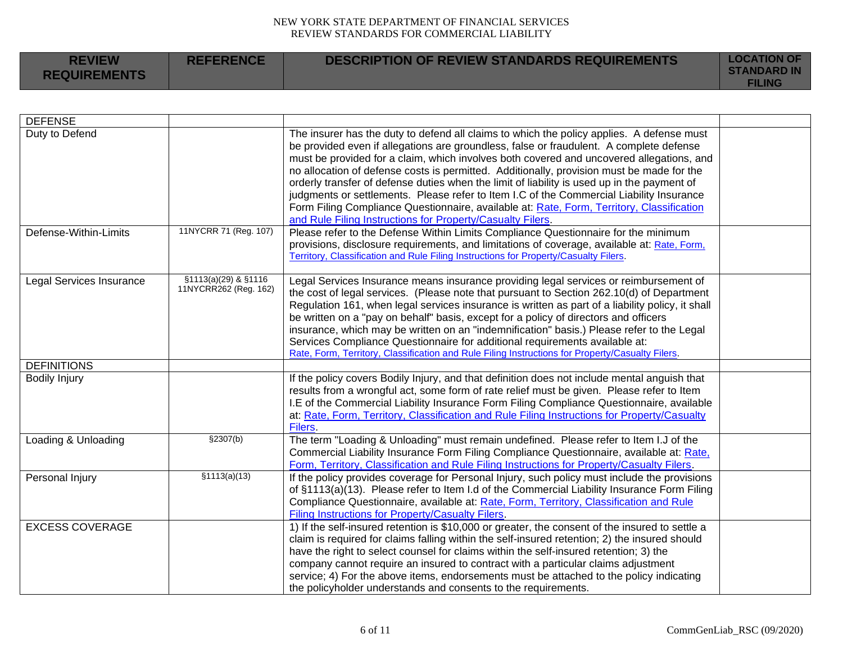| <b>REVIEW</b><br><b>REQUIREMENTS</b> | <b>REFERENCE</b> | <b>DESCRIPTION OF REVIEW STANDARDS REQUIREMENTS</b> | <b>LOCATION OF</b><br><b>STANDARD IN</b><br><b>FILING</b> |
|--------------------------------------|------------------|-----------------------------------------------------|-----------------------------------------------------------|
|--------------------------------------|------------------|-----------------------------------------------------|-----------------------------------------------------------|

| <b>DEFENSE</b>                          |                                               |                                                                                                                                                                                                                                                                                                                                                                                                                                                                                                                                                                                                                                                                                                                                                                                                                           |  |
|-----------------------------------------|-----------------------------------------------|---------------------------------------------------------------------------------------------------------------------------------------------------------------------------------------------------------------------------------------------------------------------------------------------------------------------------------------------------------------------------------------------------------------------------------------------------------------------------------------------------------------------------------------------------------------------------------------------------------------------------------------------------------------------------------------------------------------------------------------------------------------------------------------------------------------------------|--|
| Duty to Defend<br>Defense-Within-Limits | 11NYCRR 71 (Reg. 107)                         | The insurer has the duty to defend all claims to which the policy applies. A defense must<br>be provided even if allegations are groundless, false or fraudulent. A complete defense<br>must be provided for a claim, which involves both covered and uncovered allegations, and<br>no allocation of defense costs is permitted. Additionally, provision must be made for the<br>orderly transfer of defense duties when the limit of liability is used up in the payment of<br>judgments or settlements. Please refer to Item I.C of the Commercial Liability Insurance<br>Form Filing Compliance Questionnaire, available at: Rate, Form, Territory, Classification<br>and Rule Filing Instructions for Property/Casualty Filers.<br>Please refer to the Defense Within Limits Compliance Questionnaire for the minimum |  |
|                                         |                                               | provisions, disclosure requirements, and limitations of coverage, available at: Rate, Form,<br>Territory, Classification and Rule Filing Instructions for Property/Casualty Filers.                                                                                                                                                                                                                                                                                                                                                                                                                                                                                                                                                                                                                                       |  |
| <b>Legal Services Insurance</b>         | §1113(a)(29) & §1116<br>11NYCRR262 (Reg. 162) | Legal Services Insurance means insurance providing legal services or reimbursement of<br>the cost of legal services. (Please note that pursuant to Section 262.10(d) of Department<br>Regulation 161, when legal services insurance is written as part of a liability policy, it shall<br>be written on a "pay on behalf" basis, except for a policy of directors and officers<br>insurance, which may be written on an "indemnification" basis.) Please refer to the Legal<br>Services Compliance Questionnaire for additional requirements available at:<br>Rate, Form, Territory, Classification and Rule Filing Instructions for Property/Casualty Filers.                                                                                                                                                            |  |
| <b>DEFINITIONS</b>                      |                                               |                                                                                                                                                                                                                                                                                                                                                                                                                                                                                                                                                                                                                                                                                                                                                                                                                           |  |
| <b>Bodily Injury</b>                    |                                               | If the policy covers Bodily Injury, and that definition does not include mental anguish that<br>results from a wrongful act, some form of rate relief must be given. Please refer to Item<br>I.E of the Commercial Liability Insurance Form Filing Compliance Questionnaire, available<br>at: Rate, Form, Territory, Classification and Rule Filing Instructions for Property/Casualty<br>Filers.                                                                                                                                                                                                                                                                                                                                                                                                                         |  |
| Loading & Unloading                     | \$2307(b)                                     | The term "Loading & Unloading" must remain undefined. Please refer to Item I.J of the<br>Commercial Liability Insurance Form Filing Compliance Questionnaire, available at: Rate,<br>Form, Territory, Classification and Rule Filing Instructions for Property/Casualty Filers.                                                                                                                                                                                                                                                                                                                                                                                                                                                                                                                                           |  |
| Personal Injury                         | \$1113(a)(13)                                 | If the policy provides coverage for Personal Injury, such policy must include the provisions<br>of §1113(a)(13). Please refer to Item I.d of the Commercial Liability Insurance Form Filing<br>Compliance Questionnaire, available at: Rate, Form, Territory, Classification and Rule<br><b>Filing Instructions for Property/Casualty Filers.</b>                                                                                                                                                                                                                                                                                                                                                                                                                                                                         |  |
| <b>EXCESS COVERAGE</b>                  |                                               | 1) If the self-insured retention is \$10,000 or greater, the consent of the insured to settle a<br>claim is required for claims falling within the self-insured retention; 2) the insured should<br>have the right to select counsel for claims within the self-insured retention; 3) the<br>company cannot require an insured to contract with a particular claims adjustment<br>service; 4) For the above items, endorsements must be attached to the policy indicating<br>the policyholder understands and consents to the requirements.                                                                                                                                                                                                                                                                               |  |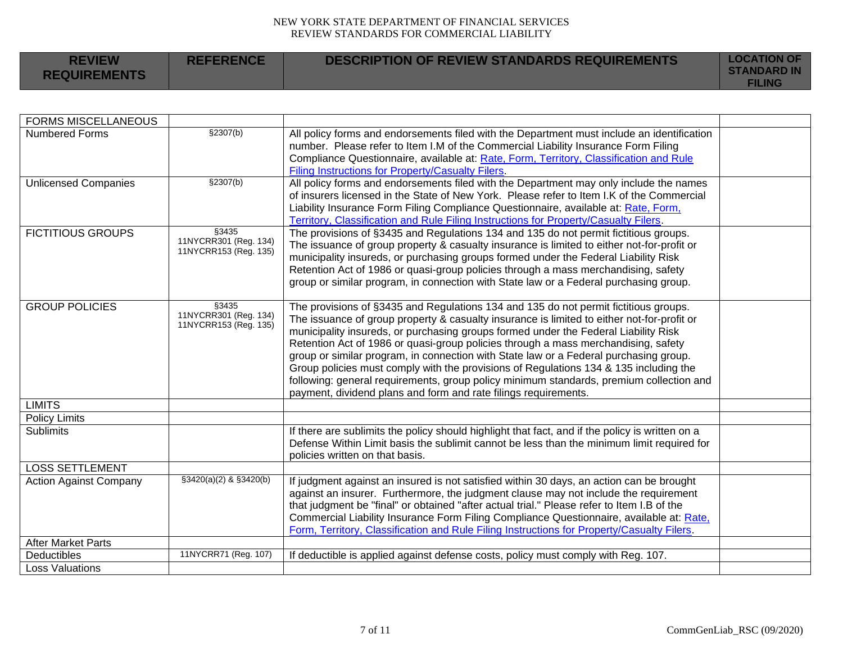| <b>REVIEW</b><br><b>REQUIREMENTS</b> | <b>REFERENCE</b> | <b>DESCRIPTION OF REVIEW STANDARDS REQUIREMENTS</b> | <b>LOCATION OF</b><br><b>STANDARD IN</b><br><b>FILING</b> |
|--------------------------------------|------------------|-----------------------------------------------------|-----------------------------------------------------------|
|--------------------------------------|------------------|-----------------------------------------------------|-----------------------------------------------------------|

| <b>FORMS MISCELLANEOUS</b>               |                                                         |                                                                                                                                                                                                                                                                                                                                                                                                                                                                                                                                                                                                                                                                                                                 |  |
|------------------------------------------|---------------------------------------------------------|-----------------------------------------------------------------------------------------------------------------------------------------------------------------------------------------------------------------------------------------------------------------------------------------------------------------------------------------------------------------------------------------------------------------------------------------------------------------------------------------------------------------------------------------------------------------------------------------------------------------------------------------------------------------------------------------------------------------|--|
| <b>Numbered Forms</b>                    | \$2307(b)                                               | All policy forms and endorsements filed with the Department must include an identification<br>number. Please refer to Item I.M of the Commercial Liability Insurance Form Filing<br>Compliance Questionnaire, available at: Rate, Form, Territory, Classification and Rule<br>Filing Instructions for Property/Casualty Filers.                                                                                                                                                                                                                                                                                                                                                                                 |  |
| <b>Unlicensed Companies</b>              | \$2307(b)                                               | All policy forms and endorsements filed with the Department may only include the names<br>of insurers licensed in the State of New York. Please refer to Item I.K of the Commercial<br>Liability Insurance Form Filing Compliance Questionnaire, available at: Rate, Form,<br>Territory, Classification and Rule Filing Instructions for Property/Casualty Filers.                                                                                                                                                                                                                                                                                                                                              |  |
| <b>FICTITIOUS GROUPS</b>                 | §3435<br>11NYCRR301 (Reg. 134)<br>11NYCRR153 (Reg. 135) | The provisions of §3435 and Regulations 134 and 135 do not permit fictitious groups.<br>The issuance of group property & casualty insurance is limited to either not-for-profit or<br>municipality insureds, or purchasing groups formed under the Federal Liability Risk<br>Retention Act of 1986 or quasi-group policies through a mass merchandising, safety<br>group or similar program, in connection with State law or a Federal purchasing group.                                                                                                                                                                                                                                                        |  |
| <b>GROUP POLICIES</b>                    | §3435<br>11NYCRR301 (Reg. 134)<br>11NYCRR153 (Reg. 135) | The provisions of §3435 and Regulations 134 and 135 do not permit fictitious groups.<br>The issuance of group property & casualty insurance is limited to either not-for-profit or<br>municipality insureds, or purchasing groups formed under the Federal Liability Risk<br>Retention Act of 1986 or quasi-group policies through a mass merchandising, safety<br>group or similar program, in connection with State law or a Federal purchasing group.<br>Group policies must comply with the provisions of Regulations 134 & 135 including the<br>following: general requirements, group policy minimum standards, premium collection and<br>payment, dividend plans and form and rate filings requirements. |  |
| <b>LIMITS</b>                            |                                                         |                                                                                                                                                                                                                                                                                                                                                                                                                                                                                                                                                                                                                                                                                                                 |  |
| <b>Policy Limits</b><br><b>Sublimits</b> |                                                         | If there are sublimits the policy should highlight that fact, and if the policy is written on a<br>Defense Within Limit basis the sublimit cannot be less than the minimum limit required for<br>policies written on that basis.                                                                                                                                                                                                                                                                                                                                                                                                                                                                                |  |
| <b>LOSS SETTLEMENT</b>                   |                                                         |                                                                                                                                                                                                                                                                                                                                                                                                                                                                                                                                                                                                                                                                                                                 |  |
| <b>Action Against Company</b>            | §3420(a)(2) & §3420(b)                                  | If judgment against an insured is not satisfied within 30 days, an action can be brought<br>against an insurer. Furthermore, the judgment clause may not include the requirement<br>that judgment be "final" or obtained "after actual trial." Please refer to Item I.B of the<br>Commercial Liability Insurance Form Filing Compliance Questionnaire, available at: Rate,<br>Form, Territory, Classification and Rule Filing Instructions for Property/Casualty Filers.                                                                                                                                                                                                                                        |  |
| <b>After Market Parts</b>                |                                                         |                                                                                                                                                                                                                                                                                                                                                                                                                                                                                                                                                                                                                                                                                                                 |  |
| Deductibles                              | 11NYCRR71 (Reg. 107)                                    | If deductible is applied against defense costs, policy must comply with Reg. 107.                                                                                                                                                                                                                                                                                                                                                                                                                                                                                                                                                                                                                               |  |
| <b>Loss Valuations</b>                   |                                                         |                                                                                                                                                                                                                                                                                                                                                                                                                                                                                                                                                                                                                                                                                                                 |  |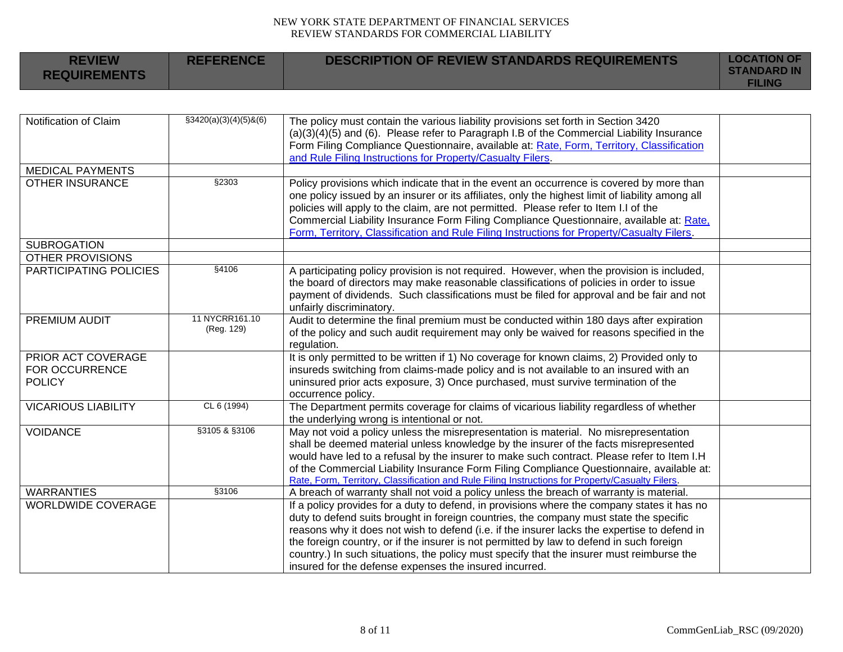| <b>REVIEW</b><br><b>REQUIREMENTS</b>                         | <b>REFERENCE</b>             | <b>DESCRIPTION OF REVIEW STANDARDS REQUIREMENTS</b>                                                                                                                                                                                                                                                                                                                                                                                                                                                                                      | <b>LOCATION OF</b><br><b>STANDARD IN</b><br><b>FILING</b> |
|--------------------------------------------------------------|------------------------------|------------------------------------------------------------------------------------------------------------------------------------------------------------------------------------------------------------------------------------------------------------------------------------------------------------------------------------------------------------------------------------------------------------------------------------------------------------------------------------------------------------------------------------------|-----------------------------------------------------------|
|                                                              |                              |                                                                                                                                                                                                                                                                                                                                                                                                                                                                                                                                          |                                                           |
| Notification of Claim                                        | $$3420(a)(3)(4)(5)$ &(6)     | The policy must contain the various liability provisions set forth in Section 3420<br>$(a)(3)(4)(5)$ and $(6)$ . Please refer to Paragraph I.B of the Commercial Liability Insurance<br>Form Filing Compliance Questionnaire, available at: Rate, Form, Territory, Classification<br>and Rule Filing Instructions for Property/Casualty Filers.                                                                                                                                                                                          |                                                           |
| <b>MEDICAL PAYMENTS</b>                                      |                              |                                                                                                                                                                                                                                                                                                                                                                                                                                                                                                                                          |                                                           |
| <b>OTHER INSURANCE</b>                                       | §2303                        | Policy provisions which indicate that in the event an occurrence is covered by more than<br>one policy issued by an insurer or its affiliates, only the highest limit of liability among all<br>policies will apply to the claim, are not permitted. Please refer to Item I.I of the<br>Commercial Liability Insurance Form Filing Compliance Questionnaire, available at: Rate,<br>Form, Territory, Classification and Rule Filing Instructions for Property/Casualty Filers.                                                           |                                                           |
| <b>SUBROGATION</b>                                           |                              |                                                                                                                                                                                                                                                                                                                                                                                                                                                                                                                                          |                                                           |
| <b>OTHER PROVISIONS</b>                                      |                              |                                                                                                                                                                                                                                                                                                                                                                                                                                                                                                                                          |                                                           |
| PARTICIPATING POLICIES                                       | §4106                        | A participating policy provision is not required. However, when the provision is included,<br>the board of directors may make reasonable classifications of policies in order to issue<br>payment of dividends. Such classifications must be filed for approval and be fair and not<br>unfairly discriminatory.                                                                                                                                                                                                                          |                                                           |
| PREMIUM AUDIT                                                | 11 NYCRR161.10<br>(Reg. 129) | Audit to determine the final premium must be conducted within 180 days after expiration<br>of the policy and such audit requirement may only be waived for reasons specified in the<br>regulation.                                                                                                                                                                                                                                                                                                                                       |                                                           |
| PRIOR ACT COVERAGE<br><b>FOR OCCURRENCE</b><br><b>POLICY</b> |                              | It is only permitted to be written if 1) No coverage for known claims, 2) Provided only to<br>insureds switching from claims-made policy and is not available to an insured with an<br>uninsured prior acts exposure, 3) Once purchased, must survive termination of the<br>occurrence policy.                                                                                                                                                                                                                                           |                                                           |
| <b>VICARIOUS LIABILITY</b>                                   | CL 6 (1994)                  | The Department permits coverage for claims of vicarious liability regardless of whether<br>the underlying wrong is intentional or not.                                                                                                                                                                                                                                                                                                                                                                                                   |                                                           |
| <b>VOIDANCE</b>                                              | §3105 & §3106                | May not void a policy unless the misrepresentation is material. No misrepresentation<br>shall be deemed material unless knowledge by the insurer of the facts misrepresented<br>would have led to a refusal by the insurer to make such contract. Please refer to Item I.H<br>of the Commercial Liability Insurance Form Filing Compliance Questionnaire, available at:<br>Rate, Form, Territory, Classification and Rule Filing Instructions for Property/Casualty Filers.                                                              |                                                           |
| <b>WARRANTIES</b>                                            | §3106                        | A breach of warranty shall not void a policy unless the breach of warranty is material.                                                                                                                                                                                                                                                                                                                                                                                                                                                  |                                                           |
| <b>WORLDWIDE COVERAGE</b>                                    |                              | If a policy provides for a duty to defend, in provisions where the company states it has no<br>duty to defend suits brought in foreign countries, the company must state the specific<br>reasons why it does not wish to defend (i.e. if the insurer lacks the expertise to defend in<br>the foreign country, or if the insurer is not permitted by law to defend in such foreign<br>country.) In such situations, the policy must specify that the insurer must reimburse the<br>insured for the defense expenses the insured incurred. |                                                           |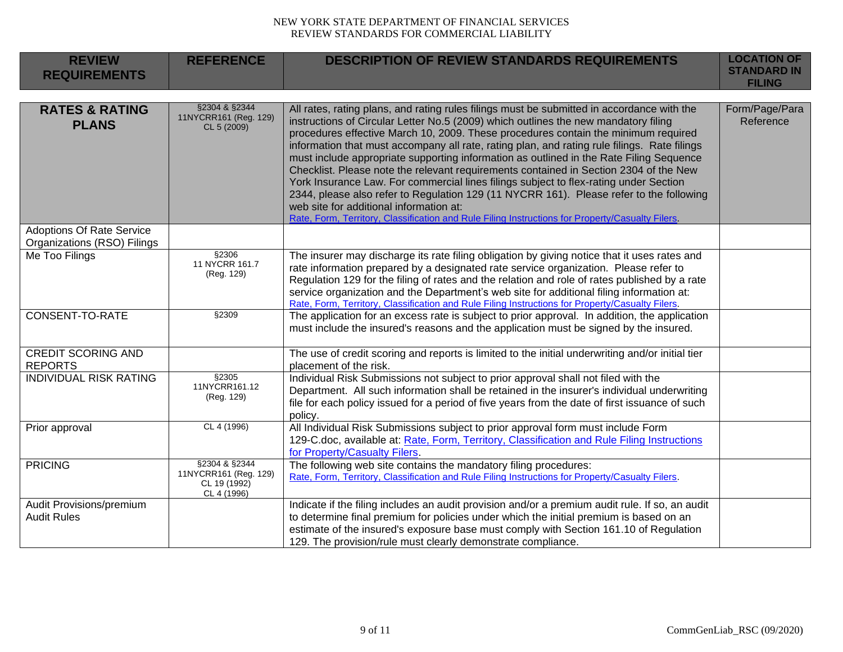| <b>REVIEW</b><br><b>REQUIREMENTS</b>                            | <b>REFERENCE</b>                                                      | <b>DESCRIPTION OF REVIEW STANDARDS REQUIREMENTS</b>                                                                                                                                                                                                                                                                                                                                                                                                                                                                                                                                                                                                                                                                                                                                                                                                                                            | <b>LOCATION OF</b><br><b>STANDARD IN</b><br><b>FILING</b> |
|-----------------------------------------------------------------|-----------------------------------------------------------------------|------------------------------------------------------------------------------------------------------------------------------------------------------------------------------------------------------------------------------------------------------------------------------------------------------------------------------------------------------------------------------------------------------------------------------------------------------------------------------------------------------------------------------------------------------------------------------------------------------------------------------------------------------------------------------------------------------------------------------------------------------------------------------------------------------------------------------------------------------------------------------------------------|-----------------------------------------------------------|
| <b>RATES &amp; RATING</b><br><b>PLANS</b>                       | §2304 & §2344<br>11NYCRR161 (Reg. 129)<br>CL 5 (2009)                 | All rates, rating plans, and rating rules filings must be submitted in accordance with the<br>instructions of Circular Letter No.5 (2009) which outlines the new mandatory filing<br>procedures effective March 10, 2009. These procedures contain the minimum required<br>information that must accompany all rate, rating plan, and rating rule filings. Rate filings<br>must include appropriate supporting information as outlined in the Rate Filing Sequence<br>Checklist. Please note the relevant requirements contained in Section 2304 of the New<br>York Insurance Law. For commercial lines filings subject to flex-rating under Section<br>2344, please also refer to Regulation 129 (11 NYCRR 161). Please refer to the following<br>web site for additional information at:<br>Rate, Form, Territory, Classification and Rule Filing Instructions for Property/Casualty Filers. | Form/Page/Para<br>Reference                               |
| <b>Adoptions Of Rate Service</b><br>Organizations (RSO) Filings |                                                                       |                                                                                                                                                                                                                                                                                                                                                                                                                                                                                                                                                                                                                                                                                                                                                                                                                                                                                                |                                                           |
| Me Too Filings                                                  | §2306<br>11 NYCRR 161.7<br>(Reg. 129)                                 | The insurer may discharge its rate filing obligation by giving notice that it uses rates and<br>rate information prepared by a designated rate service organization. Please refer to<br>Regulation 129 for the filing of rates and the relation and role of rates published by a rate<br>service organization and the Department's web site for additional filing information at:<br>Rate, Form, Territory, Classification and Rule Filing Instructions for Property/Casualty Filers.                                                                                                                                                                                                                                                                                                                                                                                                          |                                                           |
| CONSENT-TO-RATE                                                 | §2309                                                                 | The application for an excess rate is subject to prior approval. In addition, the application<br>must include the insured's reasons and the application must be signed by the insured.                                                                                                                                                                                                                                                                                                                                                                                                                                                                                                                                                                                                                                                                                                         |                                                           |
| <b>CREDIT SCORING AND</b><br><b>REPORTS</b>                     |                                                                       | The use of credit scoring and reports is limited to the initial underwriting and/or initial tier<br>placement of the risk.                                                                                                                                                                                                                                                                                                                                                                                                                                                                                                                                                                                                                                                                                                                                                                     |                                                           |
| <b>INDIVIDUAL RISK RATING</b>                                   | \$2305<br>11NYCRR161.12<br>(Reg. 129)                                 | Individual Risk Submissions not subject to prior approval shall not filed with the<br>Department. All such information shall be retained in the insurer's individual underwriting<br>file for each policy issued for a period of five years from the date of first issuance of such<br>policy.                                                                                                                                                                                                                                                                                                                                                                                                                                                                                                                                                                                                 |                                                           |
| Prior approval                                                  | CL 4 (1996)                                                           | All Individual Risk Submissions subject to prior approval form must include Form<br>129-C.doc, available at: Rate, Form, Territory, Classification and Rule Filing Instructions<br>for Property/Casualty Filers.                                                                                                                                                                                                                                                                                                                                                                                                                                                                                                                                                                                                                                                                               |                                                           |
| <b>PRICING</b>                                                  | §2304 & §2344<br>11NYCRR161 (Reg. 129)<br>CL 19 (1992)<br>CL 4 (1996) | The following web site contains the mandatory filing procedures:<br>Rate, Form, Territory, Classification and Rule Filing Instructions for Property/Casualty Filers.                                                                                                                                                                                                                                                                                                                                                                                                                                                                                                                                                                                                                                                                                                                           |                                                           |
| Audit Provisions/premium<br><b>Audit Rules</b>                  |                                                                       | Indicate if the filing includes an audit provision and/or a premium audit rule. If so, an audit<br>to determine final premium for policies under which the initial premium is based on an<br>estimate of the insured's exposure base must comply with Section 161.10 of Regulation<br>129. The provision/rule must clearly demonstrate compliance.                                                                                                                                                                                                                                                                                                                                                                                                                                                                                                                                             |                                                           |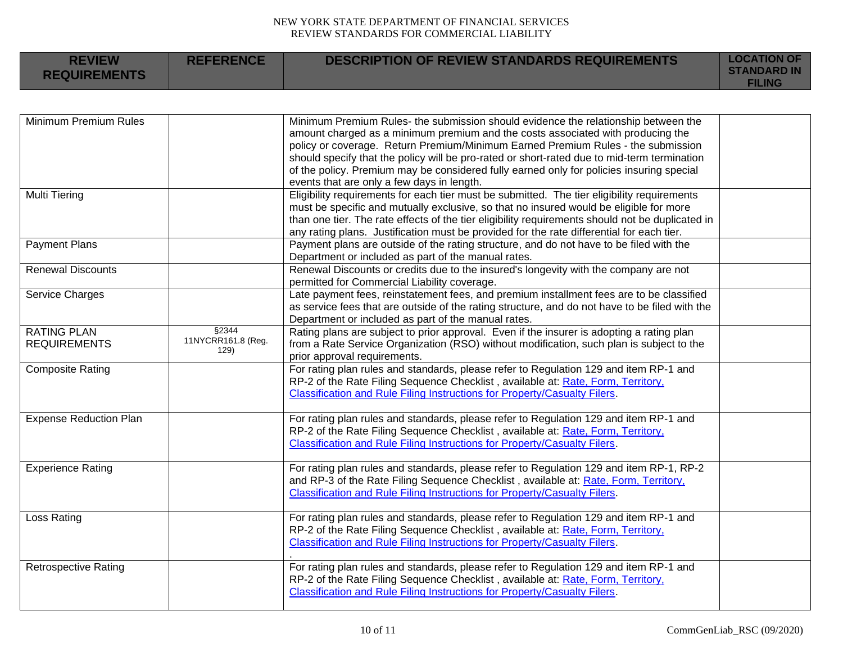| <b>REVIEW</b><br><b>REQUIREMENTS</b> | <b>REFERENCE</b>            | <b>DESCRIPTION OF REVIEW STANDARDS REQUIREMENTS</b>                                                                      | <b>LOCATION OF</b><br><b>STANDARD IN</b><br><b>FILING</b> |
|--------------------------------------|-----------------------------|--------------------------------------------------------------------------------------------------------------------------|-----------------------------------------------------------|
|                                      |                             |                                                                                                                          |                                                           |
| Minimum Premium Rules                |                             | Minimum Premium Rules- the submission should evidence the relationship between the                                       |                                                           |
|                                      |                             | amount charged as a minimum premium and the costs associated with producing the                                          |                                                           |
|                                      |                             | policy or coverage. Return Premium/Minimum Earned Premium Rules - the submission                                         |                                                           |
|                                      |                             | should specify that the policy will be pro-rated or short-rated due to mid-term termination                              |                                                           |
|                                      |                             | of the policy. Premium may be considered fully earned only for policies insuring special                                 |                                                           |
|                                      |                             | events that are only a few days in length.                                                                               |                                                           |
| <b>Multi Tiering</b>                 |                             | Eligibility requirements for each tier must be submitted. The tier eligibility requirements                              |                                                           |
|                                      |                             | must be specific and mutually exclusive, so that no insured would be eligible for more                                   |                                                           |
|                                      |                             | than one tier. The rate effects of the tier eligibility requirements should not be duplicated in                         |                                                           |
|                                      |                             | any rating plans. Justification must be provided for the rate differential for each tier.                                |                                                           |
| <b>Payment Plans</b>                 |                             | Payment plans are outside of the rating structure, and do not have to be filed with the                                  |                                                           |
|                                      |                             | Department or included as part of the manual rates.                                                                      |                                                           |
| <b>Renewal Discounts</b>             |                             | Renewal Discounts or credits due to the insured's longevity with the company are not                                     |                                                           |
|                                      |                             | permitted for Commercial Liability coverage.                                                                             |                                                           |
| Service Charges                      |                             | Late payment fees, reinstatement fees, and premium installment fees are to be classified                                 |                                                           |
|                                      |                             | as service fees that are outside of the rating structure, and do not have to be filed with the                           |                                                           |
|                                      |                             | Department or included as part of the manual rates.                                                                      |                                                           |
| <b>RATING PLAN</b>                   | §2344<br>11NYCRR161.8 (Reg. | Rating plans are subject to prior approval. Even if the insurer is adopting a rating plan                                |                                                           |
| <b>REQUIREMENTS</b>                  | 129)                        | from a Rate Service Organization (RSO) without modification, such plan is subject to the<br>prior approval requirements. |                                                           |
| <b>Composite Rating</b>              |                             | For rating plan rules and standards, please refer to Regulation 129 and item RP-1 and                                    |                                                           |
|                                      |                             | RP-2 of the Rate Filing Sequence Checklist, available at: Rate, Form, Territory,                                         |                                                           |
|                                      |                             | Classification and Rule Filing Instructions for Property/Casualty Filers.                                                |                                                           |
| <b>Expense Reduction Plan</b>        |                             | For rating plan rules and standards, please refer to Regulation 129 and item RP-1 and                                    |                                                           |
|                                      |                             | RP-2 of the Rate Filing Sequence Checklist, available at: Rate, Form, Territory,                                         |                                                           |
|                                      |                             | Classification and Rule Filing Instructions for Property/Casualty Filers.                                                |                                                           |
|                                      |                             |                                                                                                                          |                                                           |
| <b>Experience Rating</b>             |                             | For rating plan rules and standards, please refer to Regulation 129 and item RP-1, RP-2                                  |                                                           |
|                                      |                             | and RP-3 of the Rate Filing Sequence Checklist, available at: Rate, Form, Territory,                                     |                                                           |
|                                      |                             | <b>Classification and Rule Filing Instructions for Property/Casualty Filers.</b>                                         |                                                           |
| Loss Rating                          |                             | For rating plan rules and standards, please refer to Regulation 129 and item RP-1 and                                    |                                                           |
|                                      |                             | RP-2 of the Rate Filing Sequence Checklist, available at: Rate, Form, Territory,                                         |                                                           |
|                                      |                             | Classification and Rule Filing Instructions for Property/Casualty Filers.                                                |                                                           |
|                                      |                             |                                                                                                                          |                                                           |
| <b>Retrospective Rating</b>          |                             | For rating plan rules and standards, please refer to Regulation 129 and item RP-1 and                                    |                                                           |
|                                      |                             | RP-2 of the Rate Filing Sequence Checklist, available at: Rate, Form, Territory,                                         |                                                           |
|                                      |                             | Classification and Rule Filing Instructions for Property/Casualty Filers.                                                |                                                           |
|                                      |                             |                                                                                                                          |                                                           |